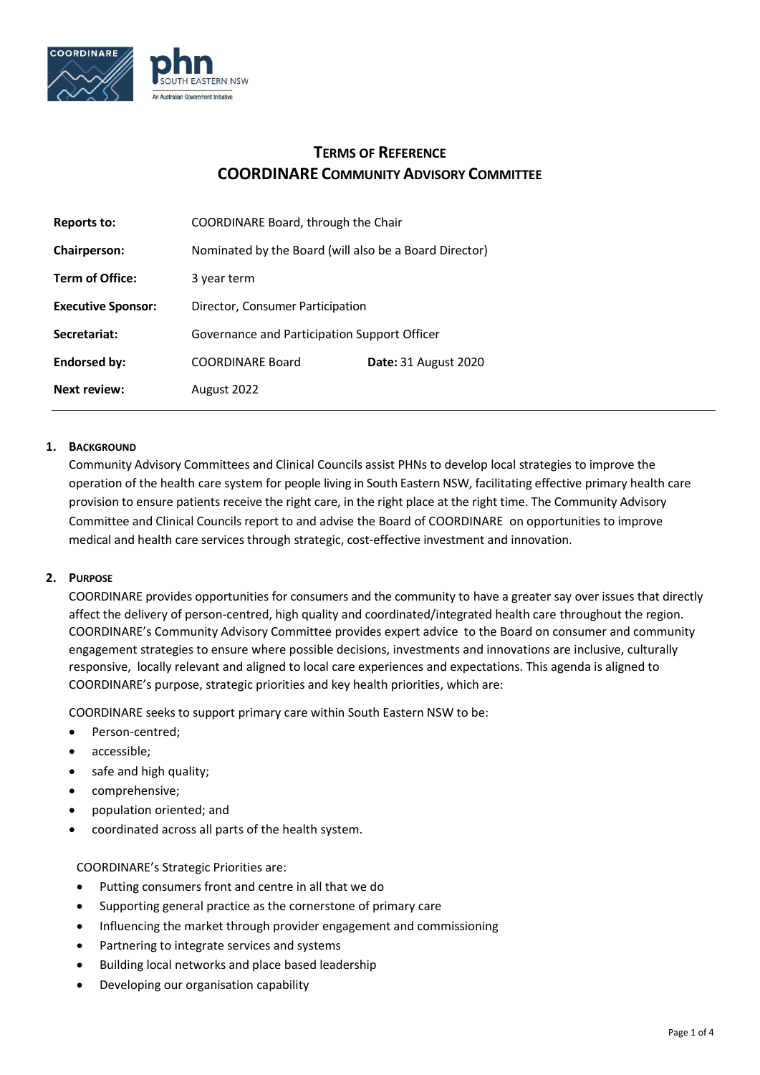

# **TERMS OF REFERENCE COORDINARE COMMUNITY ADVISORY COMMITTEE**

| Reports to:               | COORDINARE Board, through the Chair                    |                             |
|---------------------------|--------------------------------------------------------|-----------------------------|
| <b>Chairperson:</b>       | Nominated by the Board (will also be a Board Director) |                             |
| <b>Term of Office:</b>    | 3 year term                                            |                             |
| <b>Executive Sponsor:</b> | Director, Consumer Participation                       |                             |
| Secretariat:              | Governance and Participation Support Officer           |                             |
| Endorsed by:              | <b>COORDINARE Board</b>                                | <b>Date: 31 August 2020</b> |
| <b>Next review:</b>       | August 2022                                            |                             |

# **1. BACKGROUND**

Community Advisory Committees and Clinical Councils assist PHNs to develop local strategies to improve the operation of the health care system for people living in South Eastern NSW, facilitating effective primary health care provision to ensure patients receive the right care, in the right place at the right time. The Community Advisory Committee and Clinical Councils report to and advise the Board of COORDINARE on opportunities to improve medical and health care services through strategic, cost-effective investment and innovation.

## **2. PURPOSE**

COORDINARE provides opportunities for consumers and the community to have a greater say over issues that directly affect the delivery of person-centred, high quality and coordinated/integrated health care throughout the region. COORDINARE's Community Advisory Committee provides expert advice to the Board on consumer and community engagement strategies to ensure where possible decisions, investments and innovations are inclusive, culturally responsive, locally relevant and aligned to local care experiences and expectations. This agenda is aligned to COORDINARE's purpose, strategic priorities and key health priorities, which are:

COORDINARE seeks to support primary care within South Eastern NSW to be:

- Person-centred;
- accessible;
- safe and high quality;
- comprehensive;
- population oriented; and
- coordinated across all parts of the health system.

## COORDINARE's Strategic Priorities are:

- Putting consumers front and centre in all that we do
- Supporting general practice as the cornerstone of primary care
- Influencing the market through provider engagement and commissioning
- Partnering to integrate services and systems
- Building local networks and place based leadership
- Developing our organisation capability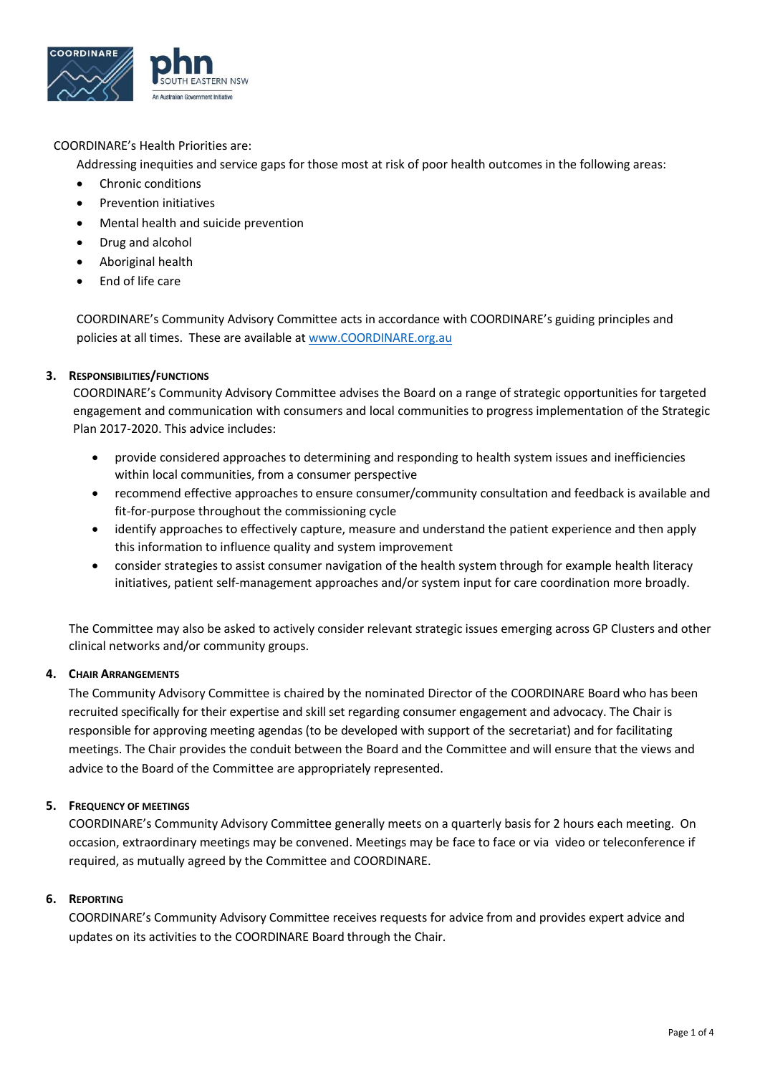

# COORDINARE's Health Priorities are:

Addressing inequities and service gaps for those most at risk of poor health outcomes in the following areas:

- Chronic conditions
- Prevention initiatives
- Mental health and suicide prevention
- Drug and alcohol
- Aboriginal health
- End of life care

COORDINARE's Community Advisory Committee acts in accordance with COORDINARE's guiding principles and policies at all times. These are available at [www.COORDINARE.org.au](about:blank)

## **3. RESPONSIBILITIES/FUNCTIONS**

COORDINARE's Community Advisory Committee advises the Board on a range of strategic opportunities for targeted engagement and communication with consumers and local communities to progress implementation of the Strategic Plan 2017-2020. This advice includes:

- provide considered approaches to determining and responding to health system issues and inefficiencies within local communities, from a consumer perspective
- recommend effective approaches to ensure consumer/community consultation and feedback is available and fit-for-purpose throughout the commissioning cycle
- identify approaches to effectively capture, measure and understand the patient experience and then apply this information to influence quality and system improvement
- consider strategies to assist consumer navigation of the health system through for example health literacy initiatives, patient self-management approaches and/or system input for care coordination more broadly.

The Committee may also be asked to actively consider relevant strategic issues emerging across GP Clusters and other clinical networks and/or community groups.

## **4. CHAIR ARRANGEMENTS**

The Community Advisory Committee is chaired by the nominated Director of the COORDINARE Board who has been recruited specifically for their expertise and skill set regarding consumer engagement and advocacy. The Chair is responsible for approving meeting agendas (to be developed with support of the secretariat) and for facilitating meetings. The Chair provides the conduit between the Board and the Committee and will ensure that the views and advice to the Board of the Committee are appropriately represented.

## **5. FREQUENCY OF MEETINGS**

COORDINARE's Community Advisory Committee generally meets on a quarterly basis for 2 hours each meeting. On occasion, extraordinary meetings may be convened. Meetings may be face to face or via video or teleconference if required, as mutually agreed by the Committee and COORDINARE.

## **6. REPORTING**

COORDINARE's Community Advisory Committee receives requests for advice from and provides expert advice and updates on its activities to the COORDINARE Board through the Chair.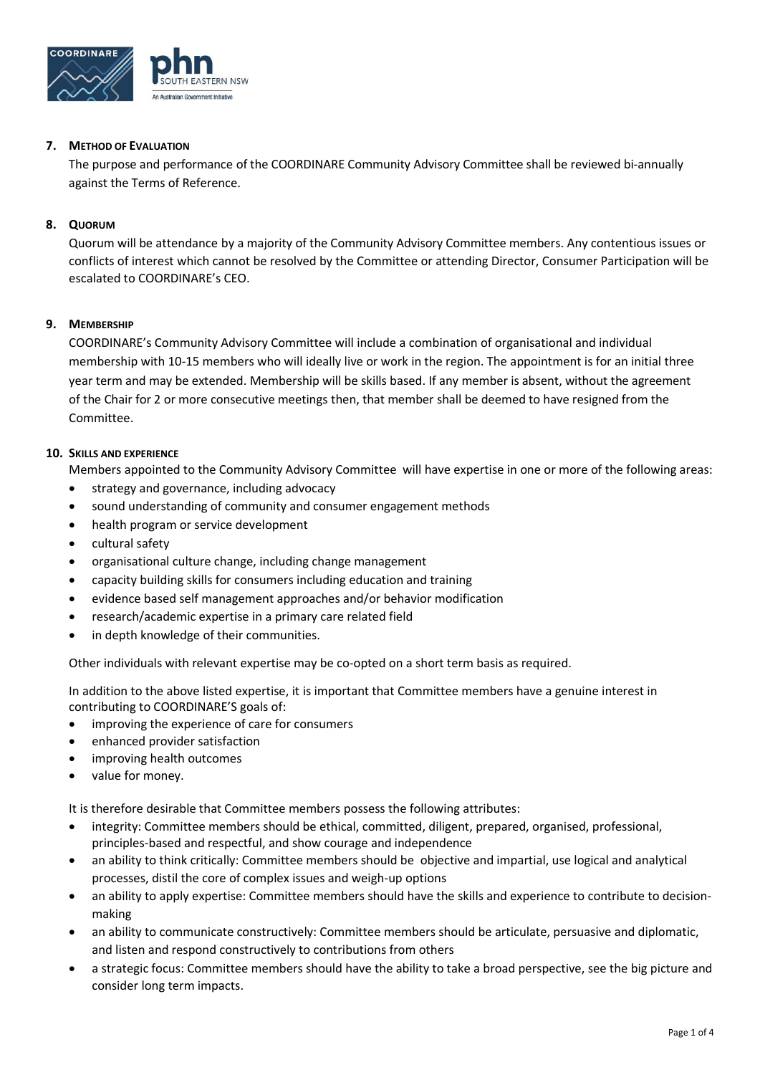

## **7. METHOD OF EVALUATION**

The purpose and performance of the COORDINARE Community Advisory Committee shall be reviewed bi-annually against the Terms of Reference.

#### **8. QUORUM**

Quorum will be attendance by a majority of the Community Advisory Committee members. Any contentious issues or conflicts of interest which cannot be resolved by the Committee or attending Director, Consumer Participation will be escalated to COORDINARE's CEO.

#### **9. MEMBERSHIP**

COORDINARE's Community Advisory Committee will include a combination of organisational and individual membership with 10-15 members who will ideally live or work in the region. The appointment is for an initial three year term and may be extended. Membership will be skills based. If any member is absent, without the agreement of the Chair for 2 or more consecutive meetings then, that member shall be deemed to have resigned from the Committee.

#### **10. SKILLS AND EXPERIENCE**

Members appointed to the Community Advisory Committee will have expertise in one or more of the following areas:

- strategy and governance, including advocacy
- sound understanding of community and consumer engagement methods
- health program or service development
- cultural safety
- organisational culture change, including change management
- capacity building skills for consumers including education and training
- evidence based self management approaches and/or behavior modification
- research/academic expertise in a primary care related field
- in depth knowledge of their communities.

Other individuals with relevant expertise may be co-opted on a short term basis as required.

In addition to the above listed expertise, it is important that Committee members have a genuine interest in contributing to COORDINARE'S goals of:

- improving the experience of care for consumers
- enhanced provider satisfaction
- improving health outcomes
- value for money.

It is therefore desirable that Committee members possess the following attributes:

- integrity: Committee members should be ethical, committed, diligent, prepared, organised, professional, principles-based and respectful, and show courage and independence
- an ability to think critically: Committee members should be objective and impartial, use logical and analytical processes, distil the core of complex issues and weigh-up options
- an ability to apply expertise: Committee members should have the skills and experience to contribute to decisionmaking
- an ability to communicate constructively: Committee members should be articulate, persuasive and diplomatic, and listen and respond constructively to contributions from others
- a strategic focus: Committee members should have the ability to take a broad perspective, see the big picture and consider long term impacts.